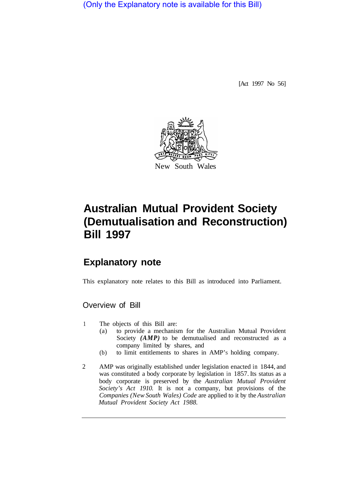(Only the Explanatory note is available for this Bill)

[Act 1997 No 56]



# **Australian Mutual Provident Society (Demutualisation and Reconstruction) Bill 1997**

## **Explanatory note**

This explanatory note relates to this Bill as introduced into Parliament.

## Overview of Bill

- 1 The objects of this Bill are:
	- (a) to provide a mechanism for the Australian Mutual Provident Society (AMP) to be demutualised and reconstructed as a company limited by shares, and
	- (b) to limit entitlements to shares in AMP'S holding company.
- 2 AMP was originally established under legislation enacted in 1844, and was constituted a body corporate by legislation in 1857. Its status as a body corporate is preserved by the *Australian Mutual Provident Society's Act 1910.* It is not a company, but provisions of the *Companies (New South Wales) Code* are applied to it by the *Australian Mutual Provident Society Act 1988.*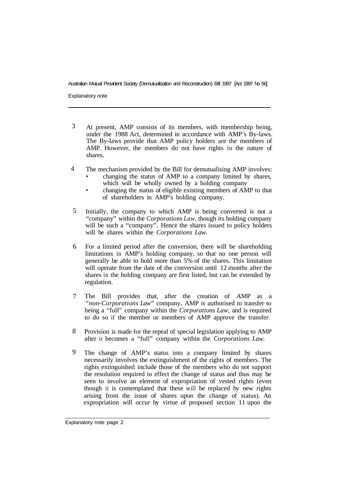Explanatory note

- At present, AMP consists of its members, with membership being, under the 1988 Act, determined in accordance with AMP's By-laws. The By-laws provide that AMP policy holders are the members of AMP. However, the members do not have rights in the nature of shares. 3
- The mechanism provided by the Bill for demutualising AMP involves: 4
	- changing the status of AMP to a company limited by shares, which will be wholly owned by a holding company
	- changing the status of eligible existing members of AMP to that of shareholders in AMP's holding company.
- Initially, the company to which AMP is being converted is not a "company" within the *Corporations Law,* though its holding company will be such a "company". Hence the shares issued to policy holders will be shares within the *Corporations Law.*  5
- For a limited period after the conversion, there will be shareholding limitations in AMP's holding company, so that no one person will generally be able to hold more than 5% of the shares. This limitation will operate from the date of the conversion until 12 months after the shares in the holding company are first listed, but can be extended by regulation. 6
- The Bill provides that, after the creation of AMP as a *"non-Corporations Law"* company, AMP is authorised to transfer to being a "full" company within the *Corporations Law,* and is required to do so if the member or members of AMP approve the transfer. 7
- Provision is made for the repeal of special legislation applying to AMP after it becomes a "full" company within the *Corporations Law.*  8
- The change of AMP's status into a company limited by shares necessarily involves the extinguishment of the rights of members. The rights extinguished include those of the members who do not support the resolution required to effect the change of status and thus may be seen to involve an element of expropriation of vested rights (even though it is contemplated that these will be replaced by new rights arising from the issue of shares upon the change of status). An expropriation will occur by virtue of proposed section 11 upon the 9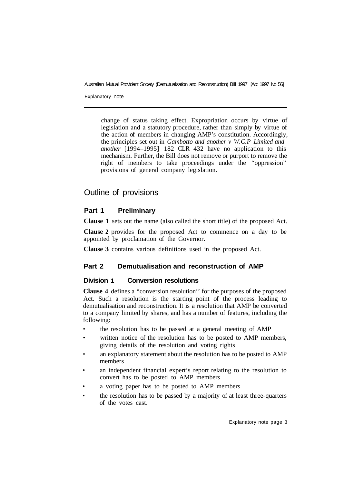Explanatory note

change of status taking effect. Expropriation occurs by virtue of legislation and a statutory procedure, rather than simply by virtue of the action of members in changing AMP'S constitution. Accordingly, the principles set out in *Gambotto and another v W.C.P Limited and another* [1994–1995] 182 CLR 432 have no application to this mechanism. Further, the Bill does not remove or purport to remove the right of members to take proceedings under the "oppression" provisions of general company legislation.

## Outline of provisions

## **Part 1 Preliminary**

**Clause 1** sets out the name (also called the short title) of the proposed Act.

**Clause 2** provides for the proposed Act to commence on a day to be appointed by proclamation of the Governor.

**Clause 3** contains various definitions used in the proposed Act.

## **Part 2 Demutualisation and reconstruction of AMP**

## **Division 1 Conversion resolutions**

**Clause 4** defines a "conversion resolution'' for the purposes of the proposed Act. Such a resolution is the starting point of the process leading to demutualisation and reconstruction. It is a resolution that AMP be converted to a company limited by shares, and has a number of features, including the following:

- the resolution has to be passed at a general meeting of AMP
- written notice of the resolution has to be posted to AMP members, giving details of the resolution and voting rights
- an explanatory statement about the resolution has to be posted to AMP members
- an independent financial expert's report relating to the resolution to convert has to be posted to AMP members
- a voting paper has to be posted to AMP members
- the resolution has to be passed by a majority of at least three-quarters of the votes cast.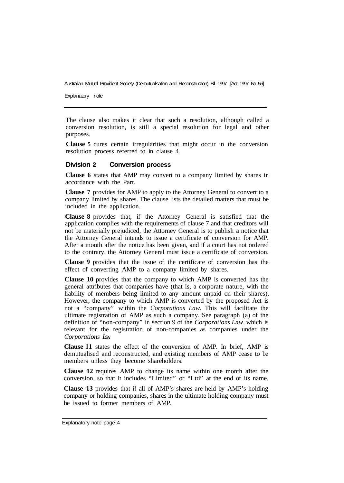Explanatory note

The clause also makes it clear that such a resolution, although called a conversion resolution, is still a special resolution for legal and other purposes.

**Clause 5** cures certain irregularities that might occur in the conversion resolution process referred to in clause 4.

#### **Division 2 Conversion process**

**Clause 6** states that AMP may convert to a company limited by shares in accordance with the Part.

**Clause 7** provides for AMP to apply to the Attorney General to convert to a company limited by shares. The clause lists the detailed matters that must be included in the application.

**Clause 8** provides that, if the Attorney General is satisfied that the application complies with the requirements of clause 7 and that creditors will not be materially prejudiced, the Attorney General is to publish a notice that the Attorney General intends to issue a certificate of conversion for AMP. After a month after the notice has been given, and if a court has not ordered to the contrary, the Attorney General must issue a certificate of conversion.

**Clause 9** provides that the issue of the certificate of conversion has the effect of converting AMP to a company limited by shares.

**Clause 10** provides that the company to which AMP is converted has the general attributes that companies have (that is, a corporate nature, with the liability of members being limited to any amount unpaid on their shares). However, the company to which AMP is converted by the proposed Act is not a "company" within the *Corporations Law.* This will facilitate the ultimate registration of AMP as such a company. See paragraph (a) of the definition of "non-company" in section 9 of the *Corporations Law,* which is relevant for the registration of non-companies as companies under the *Corporations Law.* 

**Clause l1** states the effect of the conversion of AMP. In brief, AMP is demutualised and reconstructed, and existing members of AMP cease to be members unless they become shareholders.

**Clause 12** requires AMP to change its name within one month after the conversion, so that it includes "Limited" or "Ltd" at the end of its name.

**Clause 13** provides that if all of AMP's shares are held by AMP's holding company or holding companies, shares in the ultimate holding company must be issued to former members of AMP.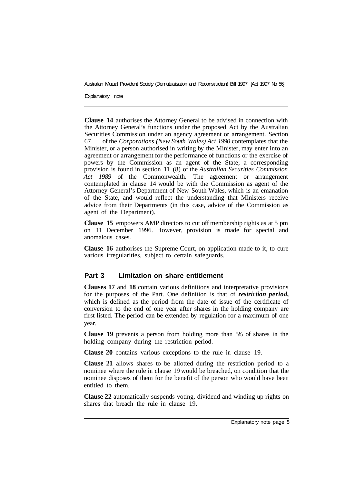Explanatory note

**Clause 14** authorises the Attorney General to be advised in connection with the Attorney General's functions under the proposed Act by the Australian Securities Commission under an agency agreement or arrangement. Section 67 (1) of the *Corporations (New South Wales) Act 1990* contemplates that the Minister, or a person authorised in writing by the Minister, may enter into an agreement or arrangement for the performance of functions or the exercise of powers by the Commission as an agent of the State; a corresponding provision is found in section 11 (8) of the *Australian Securities Commission Act 1989* of the Commonwealth. The agreement or arrangement contemplated in clause 14 would be with the Commission as agent of the Attorney General's Department of New South Wales, which is an emanation of the State, and would reflect the understanding that Ministers receive advice from their Departments (in this case, advice of the Commission as agent of the Department).

**Clause 15** empowers AMP directors to cut off membership rights as at 5 pm on 11 December 1996. However, provision is made for special and anomalous cases.

**Clause 16** authorises the Supreme Court, on application made to it, to cure various irregularities, subject to certain safeguards.

## **Part 3 Limitation on share entitlement**

**Clauses 17** and **18** contain various definitions and interpretative provisions for the purposes of the Part. One definition is that of *restriction period,*  which is defined as the period from the date of issue of the certificate of conversion to the end of one year after shares in the holding company are first listed. The period can be extended by regulation for a maximum of one year.

**Clause 19** prevents a person from holding more than 5% of shares in the holding company during the restriction period.

**Clause 20** contains various exceptions to the rule in clause 19.

**Clause 21** allows shares to be allotted during the restriction period to a nominee where the rule in clause 19 would be breached, on condition that the nominee disposes of them for the benefit of the person who would have been entitled to them.

**Clause 22** automatically suspends voting, dividend and winding up rights on shares that breach the rule in clause 19.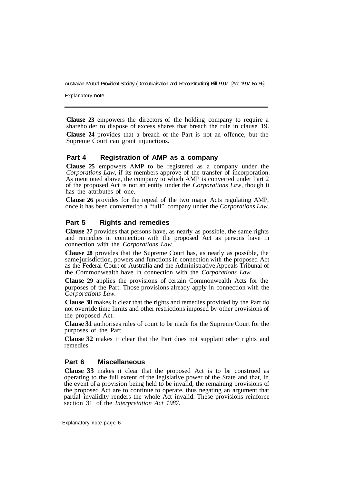Explanatory note

**Clause 23** empowers the directors of the holding company to require a shareholder to dispose of excess shares that breach the rule in clause 19. **Clause 24** provides that a breach of the Part is not an offence, but the Supreme Court can grant injunctions.

## **Part 4 Registration of AMP as a company**

**Clause 25** empowers AMP to be registered as a company under the *Corporations Law,* if its members approve of the transfer of incorporation. As mentioned above, the company to which AMP is converted under Part 2 of the proposed Act is not an entity under the *Corporations Law,* though it has the attributes of one.

**Clause 26** provides for the repeal of the two major Acts regulating AMP, once it has been converted to a "full" company under the *Corporations Law.* 

## **Part 5 Rights and remedies**

**Clause 27** provides that persons have, as nearly as possible, the same rights and remedies in connection with the proposed Act as persons have in connection with the *Corporations Law.* 

**Clause 28** provides that the Supreme Court has, as nearly as possible, the same jurisdiction, powers and functions in connection with the proposed Act as the Federal Court of Australia and the Administrative Appeals Tribunal of the Commonwealth have in connection with the *Corporations Law.* 

**Clause 29** applies the provisions of certain Commonwealth Acts for the purposes of the Part. Those provisions already apply in connection with the *Corporations Law.* 

**Clause 30** makes it clear that the rights and remedies provided by the Part do not override time limits and other restrictions imposed by other provisions of the proposed Act.

**Clause 31** authorises rules of court to be made for the Supreme Court for the purposes of the Part.

**Clause 32** makes it clear that the Part does not supplant other rights and remedies.

## **Part 6 Miscellaneous**

**Clause 33** makes it clear that the proposed Act is to be construed as operating to the full extent of the legislative power of the State and that, in the event of a provision being held to be invalid, the remaining provisions of the proposed Act are to continue to operate, thus negating an argument that partial invalidity renders the whole Act invalid. These provisions reinforce section 31 of the *Interpretation Act 1987.*